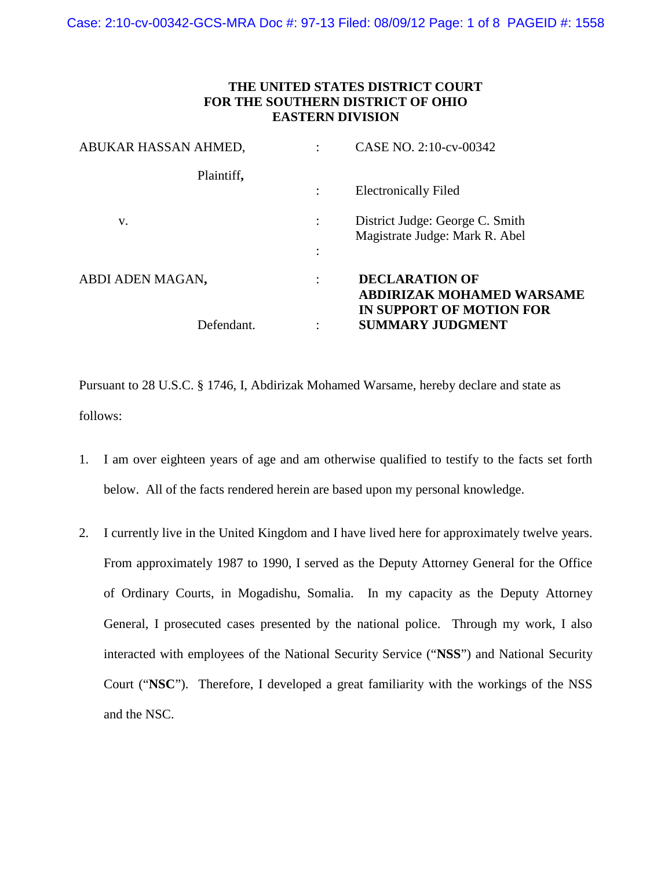## **THE UNITED STATES DISTRICT COURT FOR THE SOUTHERN DISTRICT OF OHIO EASTERN DIVISION**

| ABUKAR HASSAN AHMED, | CASE NO. 2:10-cv-00342                                            |
|----------------------|-------------------------------------------------------------------|
| Plaintiff,           |                                                                   |
|                      | <b>Electronically Filed</b>                                       |
| V.                   | District Judge: George C. Smith<br>Magistrate Judge: Mark R. Abel |
|                      |                                                                   |
| ABDI ADEN MAGAN,     | <b>DECLARATION OF</b><br><b>ABDIRIZAK MOHAMED WARSAME</b>         |
| Defendant.           | IN SUPPORT OF MOTION FOR<br><b>SUMMARY JUDGMENT</b>               |

Pursuant to 28 U.S.C. § 1746, I, Abdirizak Mohamed Warsame, hereby declare and state as follows:

- 1. I am over eighteen years of age and am otherwise qualified to testify to the facts set forth below. All of the facts rendered herein are based upon my personal knowledge.
- 2. I currently live in the United Kingdom and I have lived here for approximately twelve years. From approximately 1987 to 1990, I served as the Deputy Attorney General for the Office of Ordinary Courts, in Mogadishu, Somalia. In my capacity as the Deputy Attorney General, I prosecuted cases presented by the national police. Through my work, I also interacted with employees of the National Security Service ("**NSS**") and National Security Court ("**NSC**"). Therefore, I developed a great familiarity with the workings of the NSS and the NSC.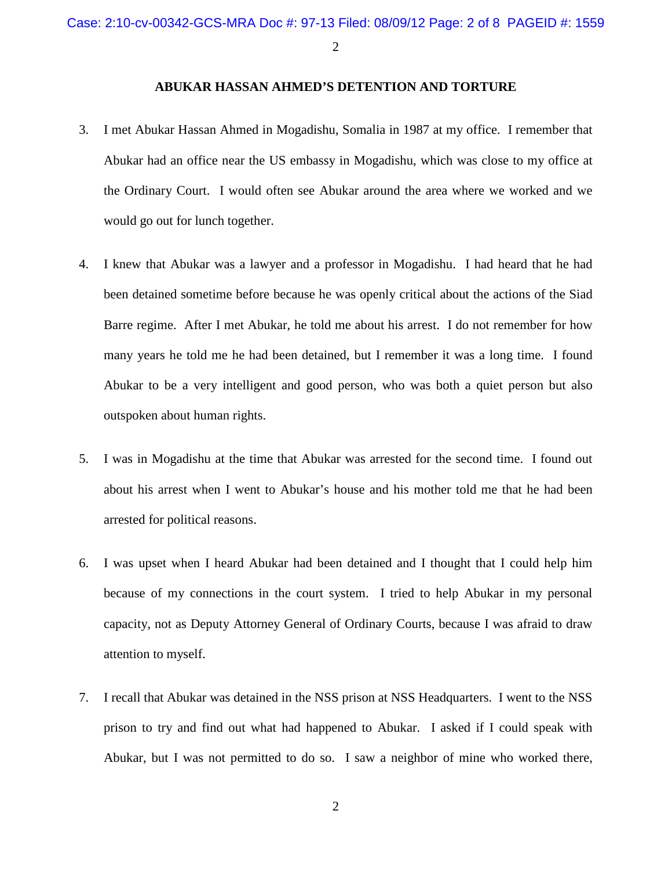## **ABUKAR HASSAN AHMED'S DETENTION AND TORTURE**

- 3. I met Abukar Hassan Ahmed in Mogadishu, Somalia in 1987 at my office. I remember that Abukar had an office near the US embassy in Mogadishu, which was close to my office at the Ordinary Court. I would often see Abukar around the area where we worked and we would go out for lunch together.
- 4. I knew that Abukar was a lawyer and a professor in Mogadishu. I had heard that he had been detained sometime before because he was openly critical about the actions of the Siad Barre regime. After I met Abukar, he told me about his arrest. I do not remember for how many years he told me he had been detained, but I remember it was a long time. I found Abukar to be a very intelligent and good person, who was both a quiet person but also outspoken about human rights.
- 5. I was in Mogadishu at the time that Abukar was arrested for the second time. I found out about his arrest when I went to Abukar's house and his mother told me that he had been arrested for political reasons.
- 6. I was upset when I heard Abukar had been detained and I thought that I could help him because of my connections in the court system. I tried to help Abukar in my personal capacity, not as Deputy Attorney General of Ordinary Courts, because I was afraid to draw attention to myself.
- 7. I recall that Abukar was detained in the NSS prison at NSS Headquarters. I went to the NSS prison to try and find out what had happened to Abukar. I asked if I could speak with Abukar, but I was not permitted to do so. I saw a neighbor of mine who worked there,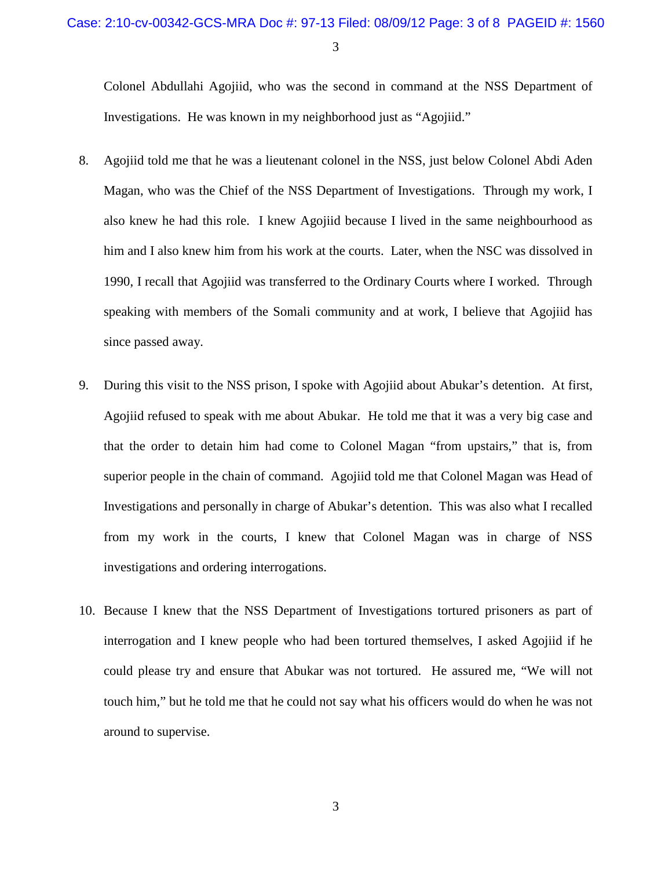Colonel Abdullahi Agojiid, who was the second in command at the NSS Department of Investigations. He was known in my neighborhood just as "Agojiid."

- 8. Agojiid told me that he was a lieutenant colonel in the NSS, just below Colonel Abdi Aden Magan, who was the Chief of the NSS Department of Investigations. Through my work, I also knew he had this role. I knew Agojiid because I lived in the same neighbourhood as him and I also knew him from his work at the courts. Later, when the NSC was dissolved in 1990, I recall that Agojiid was transferred to the Ordinary Courts where I worked. Through speaking with members of the Somali community and at work, I believe that Agojiid has since passed away.
- 9. During this visit to the NSS prison, I spoke with Agojiid about Abukar's detention. At first, Agojiid refused to speak with me about Abukar. He told me that it was a very big case and that the order to detain him had come to Colonel Magan "from upstairs," that is, from superior people in the chain of command. Agojiid told me that Colonel Magan was Head of Investigations and personally in charge of Abukar's detention. This was also what I recalled from my work in the courts, I knew that Colonel Magan was in charge of NSS investigations and ordering interrogations.
- 10. Because I knew that the NSS Department of Investigations tortured prisoners as part of interrogation and I knew people who had been tortured themselves, I asked Agojiid if he could please try and ensure that Abukar was not tortured. He assured me, "We will not touch him," but he told me that he could not say what his officers would do when he was not around to supervise.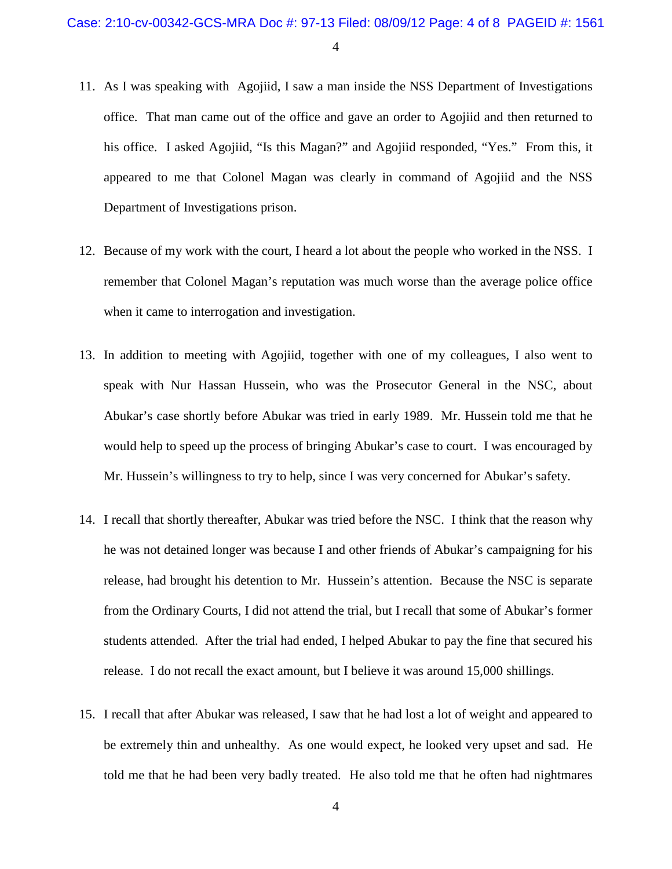- 11. As I was speaking with Agojiid, I saw a man inside the NSS Department of Investigations office. That man came out of the office and gave an order to Agojiid and then returned to his office. I asked Agojiid, "Is this Magan?" and Agojiid responded, "Yes." From this, it appeared to me that Colonel Magan was clearly in command of Agojiid and the NSS Department of Investigations prison.
- 12. Because of my work with the court, I heard a lot about the people who worked in the NSS. I remember that Colonel Magan's reputation was much worse than the average police office when it came to interrogation and investigation.
- 13. In addition to meeting with Agojiid, together with one of my colleagues, I also went to speak with Nur Hassan Hussein, who was the Prosecutor General in the NSC, about Abukar's case shortly before Abukar was tried in early 1989. Mr. Hussein told me that he would help to speed up the process of bringing Abukar's case to court. I was encouraged by Mr. Hussein's willingness to try to help, since I was very concerned for Abukar's safety.
- 14. I recall that shortly thereafter, Abukar was tried before the NSC. I think that the reason why he was not detained longer was because I and other friends of Abukar's campaigning for his release, had brought his detention to Mr. Hussein's attention. Because the NSC is separate from the Ordinary Courts, I did not attend the trial, but I recall that some of Abukar's former students attended. After the trial had ended, I helped Abukar to pay the fine that secured his release. I do not recall the exact amount, but I believe it was around 15,000 shillings.
- 15. I recall that after Abukar was released, I saw that he had lost a lot of weight and appeared to be extremely thin and unhealthy. As one would expect, he looked very upset and sad. He told me that he had been very badly treated. He also told me that he often had nightmares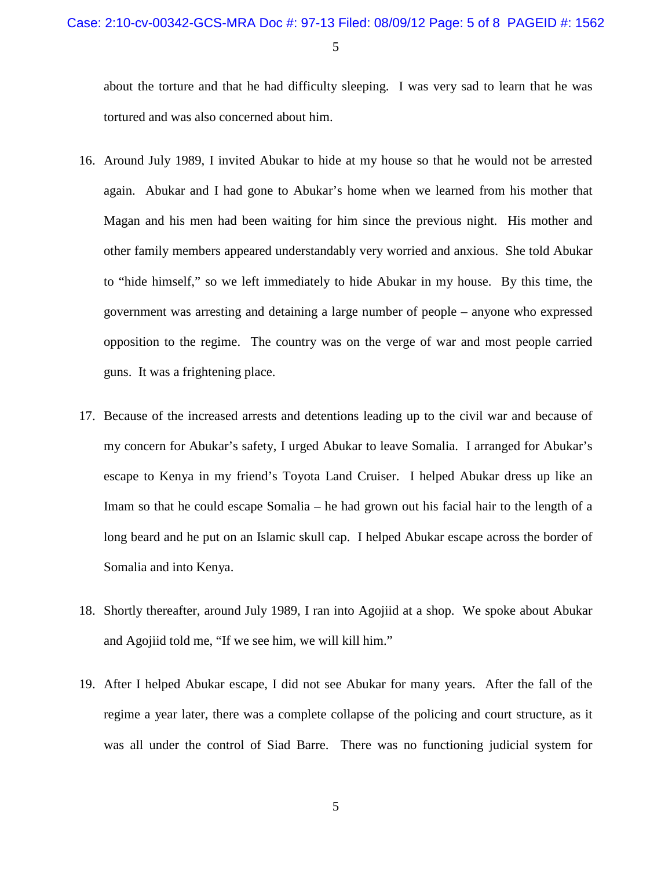about the torture and that he had difficulty sleeping. I was very sad to learn that he was tortured and was also concerned about him.

- 16. Around July 1989, I invited Abukar to hide at my house so that he would not be arrested again. Abukar and I had gone to Abukar's home when we learned from his mother that Magan and his men had been waiting for him since the previous night. His mother and other family members appeared understandably very worried and anxious. She told Abukar to "hide himself," so we left immediately to hide Abukar in my house. By this time, the government was arresting and detaining a large number of people – anyone who expressed opposition to the regime. The country was on the verge of war and most people carried guns. It was a frightening place.
- 17. Because of the increased arrests and detentions leading up to the civil war and because of my concern for Abukar's safety, I urged Abukar to leave Somalia. I arranged for Abukar's escape to Kenya in my friend's Toyota Land Cruiser. I helped Abukar dress up like an Imam so that he could escape Somalia – he had grown out his facial hair to the length of a long beard and he put on an Islamic skull cap. I helped Abukar escape across the border of Somalia and into Kenya.
- 18. Shortly thereafter, around July 1989, I ran into Agojiid at a shop. We spoke about Abukar and Agojiid told me, "If we see him, we will kill him."
- 19. After I helped Abukar escape, I did not see Abukar for many years. After the fall of the regime a year later, there was a complete collapse of the policing and court structure, as it was all under the control of Siad Barre. There was no functioning judicial system for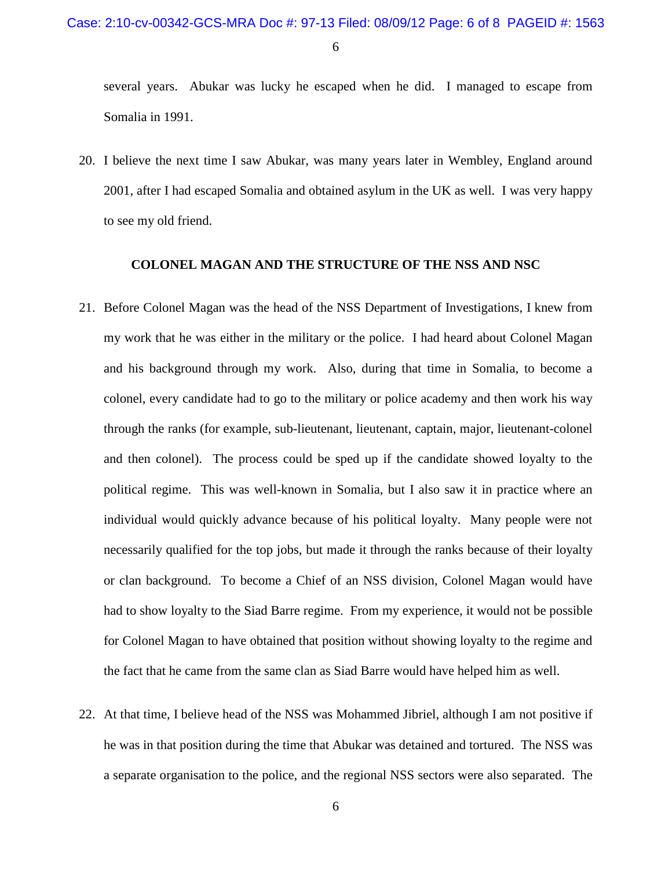several years. Abukar was lucky he escaped when he did. I managed to escape from Somalia in 1991.

20. I believe the next time I saw Abukar, was many years later in Wembley, England around 2001, after I had escaped Somalia and obtained asylum in the UK as well. I was very happy to see my old friend.

## **COLONEL MAGAN AND THE STRUCTURE OF THE NSS AND NSC**

- 21. Before Colonel Magan was the head of the NSS Department of Investigations, I knew from my work that he was either in the military or the police. I had heard about Colonel Magan and his background through my work. Also, during that time in Somalia, to become a colonel, every candidate had to go to the military or police academy and then work his way through the ranks (for example, sub-lieutenant, lieutenant, captain, major, lieutenant-colonel and then colonel). The process could be sped up if the candidate showed loyalty to the political regime. This was well-known in Somalia, but I also saw it in practice where an individual would quickly advance because of his political loyalty. Many people were not necessarily qualified for the top jobs, but made it through the ranks because of their loyalty or clan background. To become a Chief of an NSS division, Colonel Magan would have had to show loyalty to the Siad Barre regime. From my experience, it would not be possible for Colonel Magan to have obtained that position without showing loyalty to the regime and the fact that he came from the same clan as Siad Barre would have helped him as well.
- 22. At that time, I believe head of the NSS was Mohammed Jibriel, although I am not positive if he was in that position during the time that Abukar was detained and tortured. The NSS was a separate organisation to the police, and the regional NSS sectors were also separated. The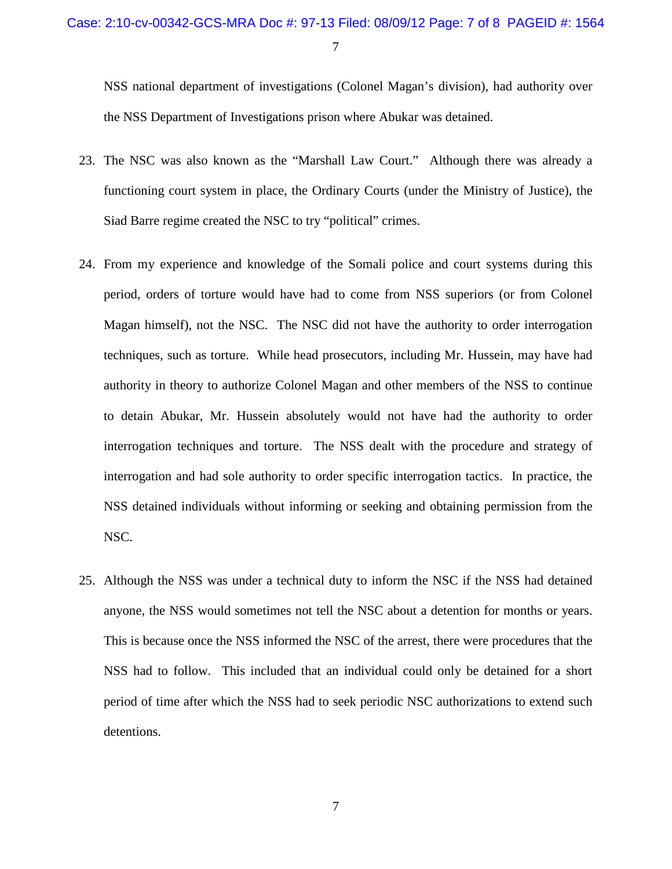NSS national department of investigations (Colonel Magan's division), had authority over the NSS Department of Investigations prison where Abukar was detained.

- 23. The NSC was also known as the "Marshall Law Court." Although there was already a functioning court system in place, the Ordinary Courts (under the Ministry of Justice), the Siad Barre regime created the NSC to try "political" crimes.
- 24. From my experience and knowledge of the Somali police and court systems during this period, orders of torture would have had to come from NSS superiors (or from Colonel Magan himself), not the NSC. The NSC did not have the authority to order interrogation techniques, such as torture. While head prosecutors, including Mr. Hussein, may have had authority in theory to authorize Colonel Magan and other members of the NSS to continue to detain Abukar, Mr. Hussein absolutely would not have had the authority to order interrogation techniques and torture. The NSS dealt with the procedure and strategy of interrogation and had sole authority to order specific interrogation tactics. In practice, the NSS detained individuals without informing or seeking and obtaining permission from the NSC.
- 25. Although the NSS was under a technical duty to inform the NSC if the NSS had detained anyone, the NSS would sometimes not tell the NSC about a detention for months or years. This is because once the NSS informed the NSC of the arrest, there were procedures that the NSS had to follow. This included that an individual could only be detained for a short period of time after which the NSS had to seek periodic NSC authorizations to extend such detentions.